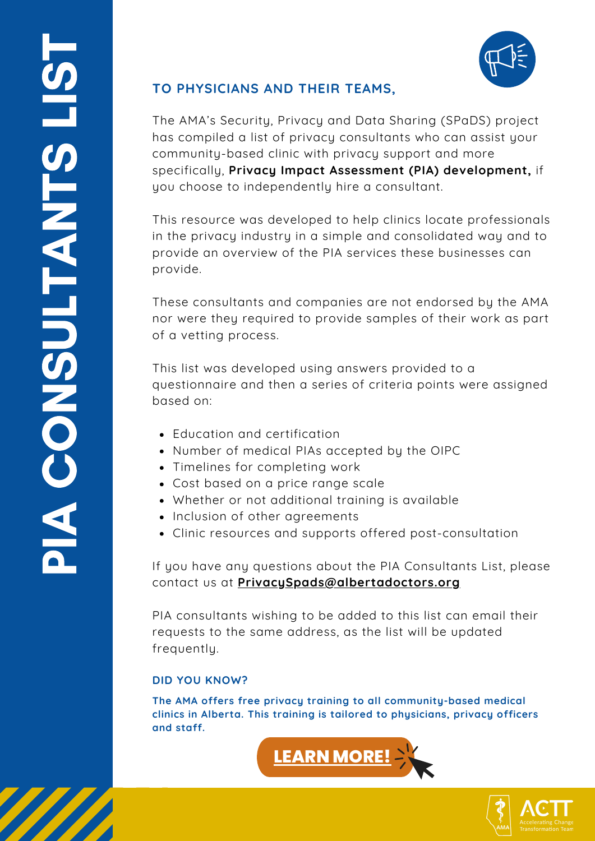

## **TO PHYSICIANS AND THEIR TEAMS,**

The AMA's Security, Privacy and Data Sharing (SPaDS) project has compiled a list of privacy consultants who can assist your community-based clinic with privacy support and more specifically, **Privacy Impact Assessment (PIA) development,** if you choose to independently hire a consultant.

This resource was developed to help clinics locate professionals in the privacy industry in a simple and consolidated way and to provide an overview of the PIA services these businesses can provide.

These consultants and companies are not endorsed by the AMA nor were they required to provide samples of their work as part of a vetting process.

This list was developed using answers provided to a questionnaire and then a series of criteria points were assigned based on:

- Education and certification
- Number of medical PIAs accepted by the OIPC
- Timelines for completing work
- Cost based on a price range scale
- Whether or not additional training is available
- Inclusion of other agreements
- Clinic resources and supports offered post-consultation

If you have any questions about the PIA Consultants List, please contact us at **[PrivacySpads@albertadoctors.org](mailto:privacySpads@albertadoctors.org)**

PIA consultants wishing to be added to this list can email their requests to the same address, as the list will be updated frequently.

### **DID YOU KNOW?**

**The AMA offers free privacy training to all community-based medical clinics in Alberta. This training is tailored to physicians, privacy officers and staff.**



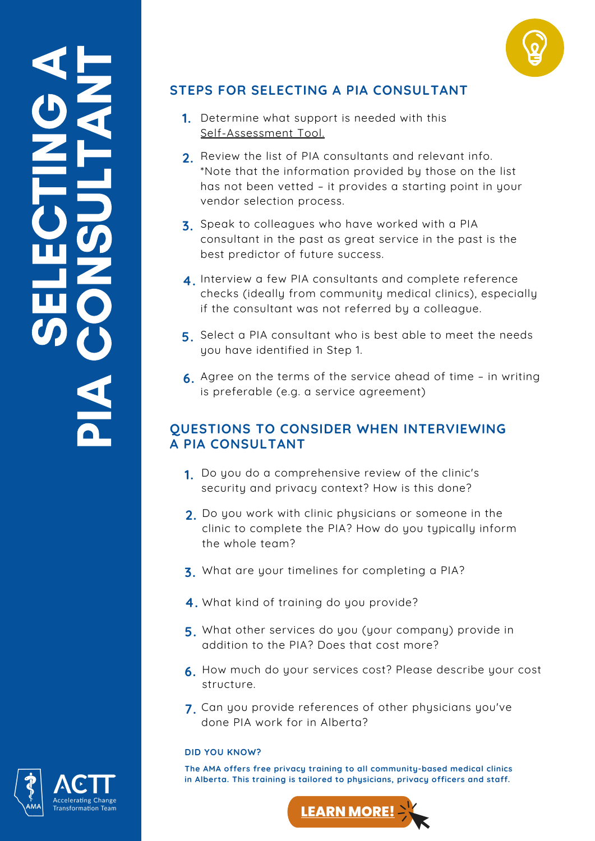



# **STEPS FOR SELECTING A PIA CONSULTANT**

- **1.** Determine what support is needed with this [Self-Assessment](https://www.albertanetcare.ca/learningcentre/documents/PIA-Update-Self-Assessment.pdf) Tool.
- Review the list of PIA consultants and relevant info. **2.** \*Note that the information provided by those on the list has not been vetted – it provides a starting point in your vendor selection process.
- Speak to colleagues who have worked with a PIA **3.** consultant in the past as great service in the past is the best predictor of future success.
- **4**. Interview a few PIA consultants and complete reference checks (ideally from community medical clinics), especially if the consultant was not referred by a colleague.
- Select a PIA consultant who is best able to meet the needs **5.** you have identified in Step 1.
- Agree on the terms of the service ahead of time in writing **6.** is preferable (e.g. a service agreement)

## **QUESTIONS TO CONSIDER WHEN INTERVIEWING A PIA CONSULTANT**

- Do you do a comprehensive review of the clinic's **1.** security and privacy context? How is this done?
- Do you work with clinic physicians or someone in the **2.** clinic to complete the PIA? How do you typically inform the whole team?
- **3** What are your timelines for completing a PIA? **.**
- **4.** What kind of training do you provide?
- What other services do you (your company) provide in **5.** addition to the PIA? Does that cost more?
- How much do your services cost? Please describe your cost **6.** structure.
- Can you provide references of other physicians you've **7.** done PIA work for in Alberta?

#### **DID YOU KNOW?**

**The AMA offers free privacy training to all community-based medical clinics in Alberta. This training is tailored to physicians, privacy officers and staff.**